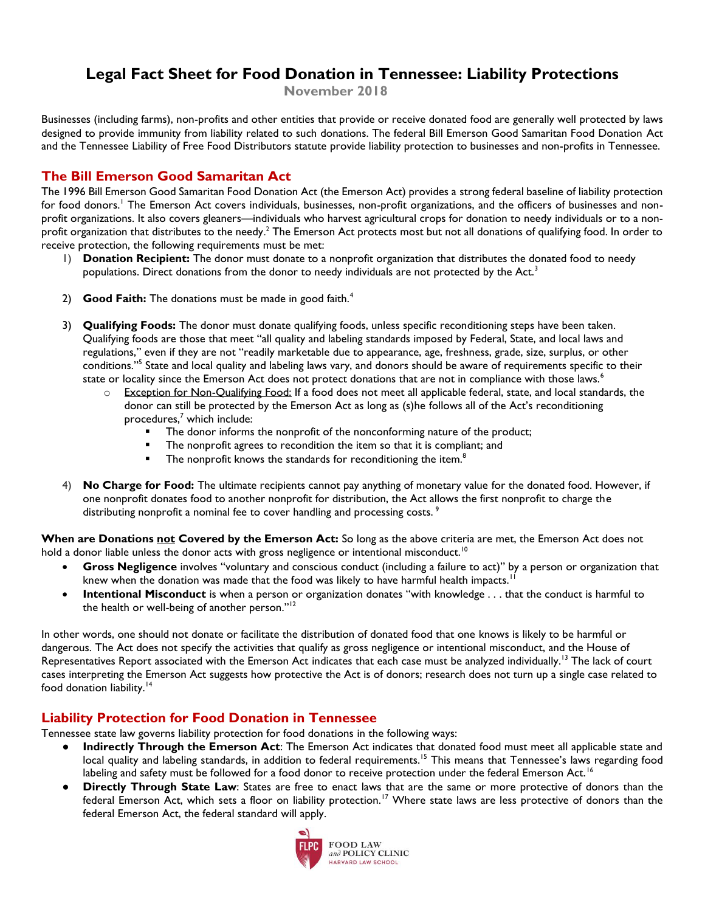## **Legal Fact Sheet for Food Donation in Tennessee: Liability Protections**

**November 2018**

Businesses (including farms), non-profits and other entities that provide or receive donated food are generally well protected by laws designed to provide immunity from liability related to such donations. The federal Bill Emerson Good Samaritan Food Donation Act and the Tennessee Liability of Free Food Distributors statute provide liability protection to businesses and non-profits in Tennessee.

## **The Bill Emerson Good Samaritan Act**

The 1996 Bill Emerson Good Samaritan Food Donation Act (the Emerson Act) provides a strong federal baseline of liability protection for food donors.<sup>1</sup> The Emerson Act covers individuals, businesses, non-profit organizations, and the officers of businesses and nonprofit organizations. It also covers gleaners—individuals who harvest agricultural crops for donation to needy individuals or to a nonprofit organization that distributes to the needy.<sup>2</sup> The Emerson Act protects most but not all donations of qualifying food. In order to receive protection, the following requirements must be met:

- 1) **Donation Recipient:** The donor must donate to a nonprofit organization that distributes the donated food to needy populations. Direct donations from the donor to needy individuals are not protected by the Act.<sup>3</sup>
- 2) **Good Faith:** The donations must be made in good faith.<sup>4</sup>
- 3) **Qualifying Foods:** The donor must donate qualifying foods, unless specific reconditioning steps have been taken. Qualifying foods are those that meet "all quality and labeling standards imposed by Federal, State, and local laws and regulations," even if they are not "readily marketable due to appearance, age, freshness, grade, size, surplus, or other conditions."<sup>5</sup> State and local quality and labeling laws vary, and donors should be aware of requirements specific to their state or locality since the Emerson Act does not protect donations that are not in compliance with those laws.<sup>6</sup>
	- $\circ$  Exception for Non-Qualifying Food: If a food does not meet all applicable federal, state, and local standards, the donor can still be protected by the Emerson Act as long as (s)he follows all of the Act's reconditioning procedures,<sup>7</sup> which include:
		- The donor informs the nonprofit of the nonconforming nature of the product;
		- **The nonprofit agrees to recondition the item so that it is compliant; and**
		- $\blacksquare$  The nonprofit knows the standards for reconditioning the item.<sup>8</sup>
- 4) **No Charge for Food:** The ultimate recipients cannot pay anything of monetary value for the donated food. However, if one nonprofit donates food to another nonprofit for distribution, the Act allows the first nonprofit to charge the distributing nonprofit a nominal fee to cover handling and processing costs.<sup>9</sup>

**When are Donations not Covered by the Emerson Act:** So long as the above criteria are met, the Emerson Act does not hold a donor liable unless the donor acts with gross negligence or intentional misconduct.<sup>10</sup>

- **Gross Negligence** involves "voluntary and conscious conduct (including a failure to act)" by a person or organization that knew when the donation was made that the food was likely to have harmful health impacts.<sup>11</sup>
- **Intentional Misconduct** is when a person or organization donates "with knowledge . . . that the conduct is harmful to the health or well-being of another person."<sup>12</sup>

In other words, one should not donate or facilitate the distribution of donated food that one knows is likely to be harmful or dangerous. The Act does not specify the activities that qualify as gross negligence or intentional misconduct, and the House of Representatives Report associated with the Emerson Act indicates that each case must be analyzed individually.<sup>13</sup> The lack of court cases interpreting the Emerson Act suggests how protective the Act is of donors; research does not turn up a single case related to food donation liability.<sup>14</sup>

## **Liability Protection for Food Donation in Tennessee**

Tennessee state law governs liability protection for food donations in the following ways:

- **Indirectly Through the Emerson Act**: The Emerson Act indicates that donated food must meet all applicable state and local quality and labeling standards, in addition to federal requirements.<sup>15</sup> This means that Tennessee's laws regarding food labeling and safety must be followed for a food donor to receive protection under the federal Emerson Act.<sup>16</sup>
- **Directly Through State Law**: States are free to enact laws that are the same or more protective of donors than the federal Emerson Act, which sets a floor on liability protection.<sup>17</sup> Where state laws are less protective of donors than the federal Emerson Act, the federal standard will apply.

<span id="page-0-0"></span>